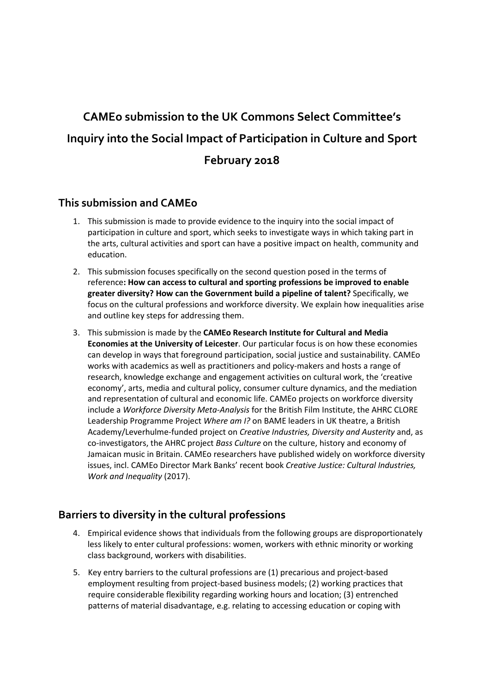# **CAMEo submission to the UK Commons Select Committee's Inquiry into the Social Impact of Participation in Culture and Sport February 2018**

## **This submission and CAMEo**

- 1. This submission is made to provide evidence to the inquiry into the social impact of participation in culture and sport, which seeks to investigate ways in which taking part in the arts, cultural activities and sport can have a positive impact on health, community and education.
- 2. This submission focuses specifically on the second question posed in the terms of reference**: How can access to cultural and sporting professions be improved to enable greater diversity? How can the Government build a pipeline of talent?** Specifically, we focus on the cultural professions and workforce diversity. We explain how inequalities arise and outline key steps for addressing them.
- 3. This submission is made by the **CAMEo Research Institute for Cultural and Media Economies at the University of Leicester**. Our particular focus is on how these economies can develop in ways that foreground participation, social justice and sustainability. CAMEo works with academics as well as practitioners and policy-makers and hosts a range of research, knowledge exchange and engagement activities on cultural work, the 'creative economy', arts, media and cultural policy, consumer culture dynamics, and the mediation and representation of cultural and economic life. CAMEo projects on workforce diversity include a *Workforce Diversity Meta-Analysis* for the British Film Institute, the AHRC CLORE Leadership Programme Project *Where am I?* on BAME leaders in UK theatre, a British Academy/Leverhulme-funded project on *Creative Industries, Diversity and Austerity* and, as co-investigators, the AHRC project *Bass Culture* on the culture, history and economy of Jamaican music in Britain. CAMEo researchers have published widely on workforce diversity issues, incl. CAMEo Director Mark Banks' recent book *Creative Justice: Cultural Industries, Work and Inequality* (2017).

# **Barriers to diversity in the cultural professions**

- 4. Empirical evidence shows that individuals from the following groups are disproportionately less likely to enter cultural professions: women, workers with ethnic minority or working class background, workers with disabilities.
- 5. Key entry barriers to the cultural professions are (1) precarious and project-based employment resulting from project-based business models; (2) working practices that require considerable flexibility regarding working hours and location; (3) entrenched patterns of material disadvantage, e.g. relating to accessing education or coping with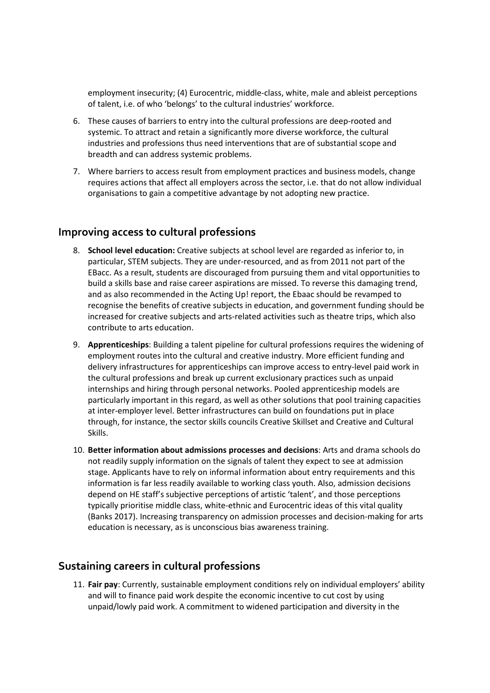employment insecurity; (4) Eurocentric, middle-class, white, male and ableist perceptions of talent, i.e. of who 'belongs' to the cultural industries' workforce.

- 6. These causes of barriers to entry into the cultural professions are deep-rooted and systemic. To attract and retain a significantly more diverse workforce, the cultural industries and professions thus need interventions that are of substantial scope and breadth and can address systemic problems.
- 7. Where barriers to access result from employment practices and business models, change requires actions that affect all employers across the sector, i.e. that do not allow individual organisations to gain a competitive advantage by not adopting new practice.

#### **Improving access to cultural professions**

- 8. **School level education:** Creative subjects at school level are regarded as inferior to, in particular, STEM subjects. They are under-resourced, and as from 2011 not part of the EBacc. As a result, students are discouraged from pursuing them and vital opportunities to build a skills base and raise career aspirations are missed. To reverse this damaging trend, and as also recommended in the Acting Up! report, the Ebaac should be revamped to recognise the benefits of creative subjects in education, and government funding should be increased for creative subjects and arts-related activities such as theatre trips, which also contribute to arts education.
- 9. **Apprenticeships**: Building a talent pipeline for cultural professions requires the widening of employment routes into the cultural and creative industry. More efficient funding and delivery infrastructures for apprenticeships can improve access to entry-level paid work in the cultural professions and break up current exclusionary practices such as unpaid internships and hiring through personal networks. Pooled apprenticeship models are particularly important in this regard, as well as other solutions that pool training capacities at inter-employer level. Better infrastructures can build on foundations put in place through, for instance, the sector skills councils Creative Skillset and Creative and Cultural Skills.
- 10. **Better information about admissions processes and decisions**: Arts and drama schools do not readily supply information on the signals of talent they expect to see at admission stage. Applicants have to rely on informal information about entry requirements and this information is far less readily available to working class youth. Also, admission decisions depend on HE staff's subjective perceptions of artistic 'talent', and those perceptions typically prioritise middle class, white-ethnic and Eurocentric ideas of this vital quality (Banks 2017). Increasing transparency on admission processes and decision-making for arts education is necessary, as is unconscious bias awareness training.

#### **Sustaining careers in cultural professions**

11. **Fair pay**: Currently, sustainable employment conditions rely on individual employers' ability and will to finance paid work despite the economic incentive to cut cost by using unpaid/lowly paid work. A commitment to widened participation and diversity in the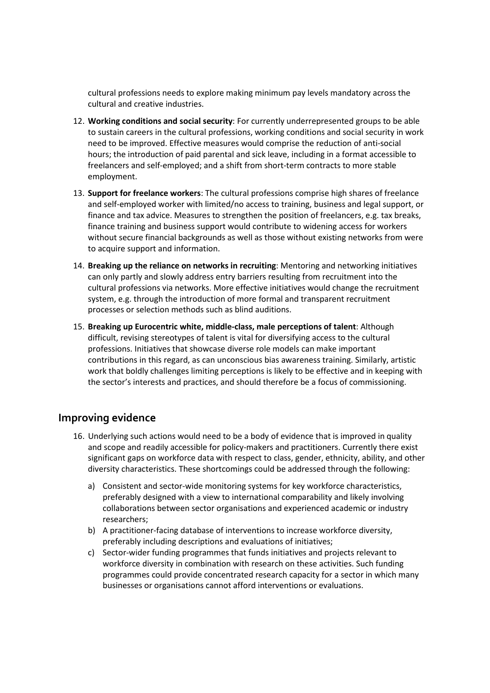cultural professions needs to explore making minimum pay levels mandatory across the cultural and creative industries.

- 12. **Working conditions and social security**: For currently underrepresented groups to be able to sustain careers in the cultural professions, working conditions and social security in work need to be improved. Effective measures would comprise the reduction of anti-social hours; the introduction of paid parental and sick leave, including in a format accessible to freelancers and self-employed; and a shift from short-term contracts to more stable employment.
- 13. **Support for freelance workers**: The cultural professions comprise high shares of freelance and self-employed worker with limited/no access to training, business and legal support, or finance and tax advice. Measures to strengthen the position of freelancers, e.g. tax breaks, finance training and business support would contribute to widening access for workers without secure financial backgrounds as well as those without existing networks from were to acquire support and information.
- 14. **Breaking up the reliance on networks in recruiting**: Mentoring and networking initiatives can only partly and slowly address entry barriers resulting from recruitment into the cultural professions via networks. More effective initiatives would change the recruitment system, e.g. through the introduction of more formal and transparent recruitment processes or selection methods such as blind auditions.
- 15. **Breaking up Eurocentric white, middle-class, male perceptions of talent**: Although difficult, revising stereotypes of talent is vital for diversifying access to the cultural professions. Initiatives that showcase diverse role models can make important contributions in this regard, as can unconscious bias awareness training. Similarly, artistic work that boldly challenges limiting perceptions is likely to be effective and in keeping with the sector's interests and practices, and should therefore be a focus of commissioning.

## **Improving evidence**

- 16. Underlying such actions would need to be a body of evidence that is improved in quality and scope and readily accessible for policy-makers and practitioners. Currently there exist significant gaps on workforce data with respect to class, gender, ethnicity, ability, and other diversity characteristics. These shortcomings could be addressed through the following:
	- a) Consistent and sector-wide monitoring systems for key workforce characteristics, preferably designed with a view to international comparability and likely involving collaborations between sector organisations and experienced academic or industry researchers;
	- b) A practitioner-facing database of interventions to increase workforce diversity, preferably including descriptions and evaluations of initiatives;
	- c) Sector-wider funding programmes that funds initiatives and projects relevant to workforce diversity in combination with research on these activities. Such funding programmes could provide concentrated research capacity for a sector in which many businesses or organisations cannot afford interventions or evaluations.